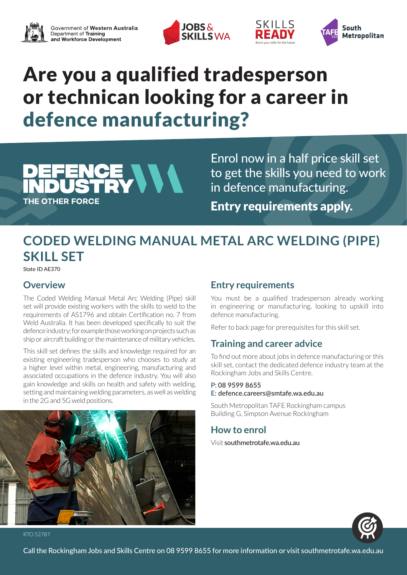





# Are you a qualified tradesperson or technican looking for a career in defence manufacturing?



Enrol now in a half price skill set to get the skills you need to work in defence manufacturing. Entry requirements apply.

SKILLS

# **CODED WELDING MANUAL METAL ARC WELDING (PIPE) SKILL SET**

State ID AE370

## **Overview**

The Coded Welding Manual Metal Arc Welding (Pipe) skill set will provide existing workers with the skills to weld to the requirements of AS1796 and obtain Certification no. 7 from Weld Australia. It has been developed specifically to suit the defence industry; for example those working on projects such as ship or aircraft building or the maintenance of military vehicles.

This skill set defines the skills and knowledge required for an existing engineering tradesperson who chooses to study at a higher level within metal, engineering, manufacturing and associated occupations in the defence industry. You will also gain knowledge and skills on health and safety with welding, setting and maintaining welding parameters, as well as welding in the 2G and 5G weld positions.



### **Entry requirements**

You must be a qualified tradesperson already working in engineering or manufacturing, looking to upskill into defence manufacturing.

Refer to back page for prerequisites for this skill set.

# **Training and career advice**

To find out more about jobs in defence manufacturing or this skill set, contact the dedicated defence industry team at the Rockingham Jobs and Skills Centre.

#### **P:** 08 9599 8655 **E:** defence.careers@smtafe.wa.edu.au

South Metropolitan TAFE Rockingham campus Building G, Simpson Avenue Rockingham

# **How to enrol**

Visit southmetrotafe.wa.edu.au



RTO 52787